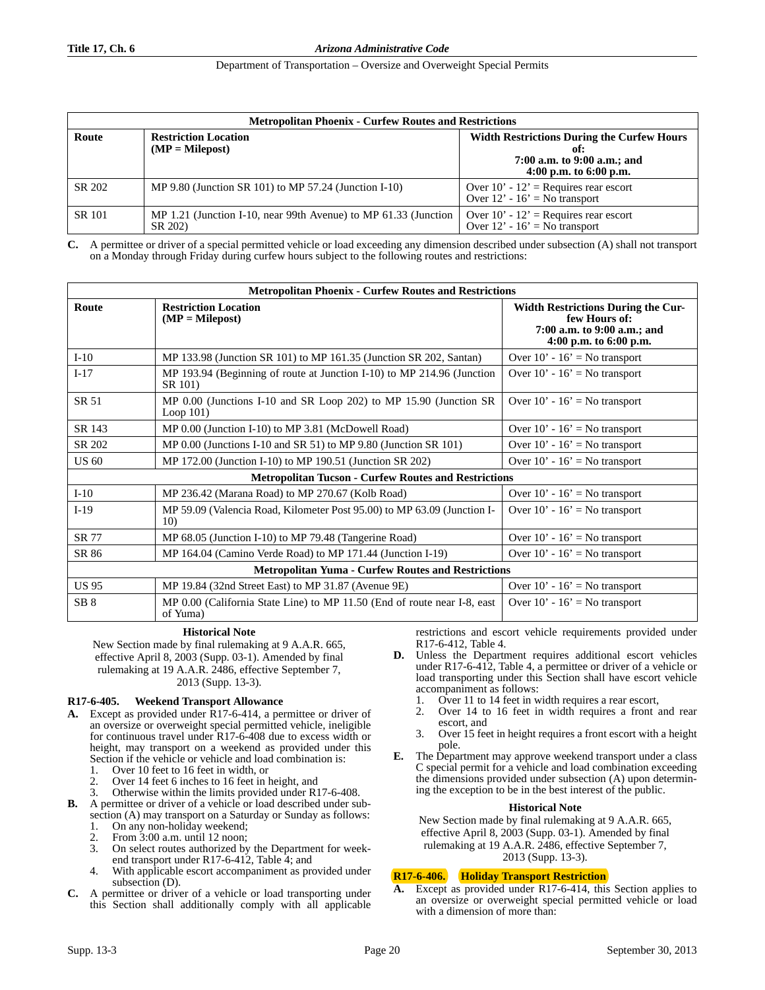## Department of Transportation – Oversize and Overweight Special Permits

| <b>Metropolitan Phoenix - Curfew Routes and Restrictions</b> |                                                                            |                                                                                                                     |  |
|--------------------------------------------------------------|----------------------------------------------------------------------------|---------------------------------------------------------------------------------------------------------------------|--|
| Route                                                        | <b>Restriction Location</b><br>$(MP = Milepost)$                           | <b>Width Restrictions During the Curfew Hours</b><br>of:<br>7:00 a.m. to 9:00 a.m.; and<br>4:00 p.m. to $6:00$ p.m. |  |
| SR 202                                                       | MP $9.80$ (Junction SR 101) to MP 57.24 (Junction I-10)                    | Over $10' - 12'$ = Requires rear escort<br>Over $12' - 16' = No$ transport                                          |  |
| <b>SR 101</b>                                                | MP 1.21 (Junction I-10, near 99th Avenue) to MP 61.33 (Junction<br>SR 202) | Over $10' - 12'$ = Requires rear escort<br>Over $12' - 16' =$ No transport                                          |  |

**C.** A permittee or driver of a special permitted vehicle or load exceeding any dimension described under subsection (A) shall not transport on a Monday through Friday during curfew hours subject to the following routes and restrictions:

| <b>Metropolitan Phoenix - Curfew Routes and Restrictions</b> |                                                                                      |                                                                                                                     |  |
|--------------------------------------------------------------|--------------------------------------------------------------------------------------|---------------------------------------------------------------------------------------------------------------------|--|
| Route                                                        | <b>Restriction Location</b><br>$(MP = Milepost)$                                     | <b>Width Restrictions During the Cur-</b><br>few Hours of:<br>7:00 a.m. to 9:00 a.m.; and<br>4:00 p.m. to 6:00 p.m. |  |
| $I-10$                                                       | MP 133.98 (Junction SR 101) to MP 161.35 (Junction SR 202, Santan)                   | Over $10' - 16' =$ No transport                                                                                     |  |
| $I-17$                                                       | MP 193.94 (Beginning of route at Junction I-10) to MP 214.96 (Junction<br>SR 101)    | Over $10' - 16' =$ No transport                                                                                     |  |
| SR 51                                                        | MP 0.00 (Junctions I-10 and SR Loop 202) to MP 15.90 (Junction SR<br>Loop $101$ )    | Over $10' - 16' = No$ transport                                                                                     |  |
| SR 143                                                       | MP 0.00 (Junction I-10) to MP 3.81 (McDowell Road)                                   | Over $10' - 16' = No$ transport                                                                                     |  |
| SR 202                                                       | MP $0.00$ (Junctions I-10 and SR 51) to MP $9.80$ (Junction SR 101)                  | Over $10' - 16' =$ No transport                                                                                     |  |
| <b>US 60</b>                                                 | MP 172.00 (Junction I-10) to MP 190.51 (Junction SR 202)                             | Over $10' - 16' =$ No transport                                                                                     |  |
| <b>Metropolitan Tucson - Curfew Routes and Restrictions</b>  |                                                                                      |                                                                                                                     |  |
| $I-10$                                                       | MP 236.42 (Marana Road) to MP 270.67 (Kolb Road)                                     | Over $10' - 16' = No$ transport                                                                                     |  |
| $I-19$                                                       | MP 59.09 (Valencia Road, Kilometer Post 95.00) to MP 63.09 (Junction I-<br>10)       | Over $10' - 16' =$ No transport                                                                                     |  |
| SR 77                                                        | MP 68.05 (Junction I-10) to MP 79.48 (Tangerine Road)                                | Over $10' - 16' = No$ transport                                                                                     |  |
| SR 86                                                        | MP 164.04 (Camino Verde Road) to MP 171.44 (Junction I-19)                           | Over $10' - 16' =$ No transport                                                                                     |  |
| <b>Metropolitan Yuma - Curfew Routes and Restrictions</b>    |                                                                                      |                                                                                                                     |  |
| <b>US 95</b>                                                 | MP 19.84 (32nd Street East) to MP 31.87 (Avenue 9E)                                  | Over $10' - 16' =$ No transport                                                                                     |  |
| SB <sub>8</sub>                                              | MP 0.00 (California State Line) to MP 11.50 (End of route near I-8, east<br>of Yuma) | Over $10' - 16' =$ No transport                                                                                     |  |

## **Historical Note**

New Section made by final rulemaking at 9 A.A.R. 665, effective April 8, 2003 (Supp. 03-1). Amended by final rulemaking at 19 A.A.R. 2486, effective September 7, 2013 (Supp. 13-3).

# **R17-6-405. Weekend Transport Allowance**

- **A.** Except as provided under R17-6-414, a permittee or driver of an oversize or overweight special permitted vehicle, ineligible for continuous travel under R17-6-408 due to excess width or height, may transport on a weekend as provided under this Section if the vehicle or vehicle and load combination is:
	- 1. Over 10 feet to 16 feet in width, or
	- Over 14 feet 6 inches to 16 feet in height, and
	- Otherwise within the limits provided under R17-6-408.
- **B.** A permittee or driver of a vehicle or load described under subsection (A) may transport on a Saturday or Sunday as follows:
	- 1. On any non-holiday weekend;
	- 2. From 3:00 a.m. until 12 noon;<br>3. On select routes authorized by
	- On select routes authorized by the Department for weekend transport under R17-6-412, Table 4; and
	- 4. With applicable escort accompaniment as provided under subsection (D).
- **C.** A permittee or driver of a vehicle or load transporting under this Section shall additionally comply with all applicable

restrictions and escort vehicle requirements provided under R17-6-412, Table 4.

- **D.** Unless the Department requires additional escort vehicles under R17-6-412, Table 4, a permittee or driver of a vehicle or load transporting under this Section shall have escort vehicle accompaniment as follows:
	- 1. Over 11 to 14 feet in width requires a rear escort,
	- 2. Over 14 to 16 feet in width requires a front and rear
	- escort, and 3. Over 15 feet in height requires a front escort with a height pole.
- **E.** The Department may approve weekend transport under a class C special permit for a vehicle and load combination exceeding the dimensions provided under subsection (A) upon determining the exception to be in the best interest of the public.

## **Historical Note**

New Section made by final rulemaking at 9 A.A.R. 665, effective April 8, 2003 (Supp. 03-1). Amended by final rulemaking at 19 A.A.R. 2486, effective September 7, 2013 (Supp. 13-3).

# **R17-6-406. Holiday Transport Restriction**

**A.** Except as provided under R17-6-414, this Section applies to an oversize or overweight special permitted vehicle or load with a dimension of more than: